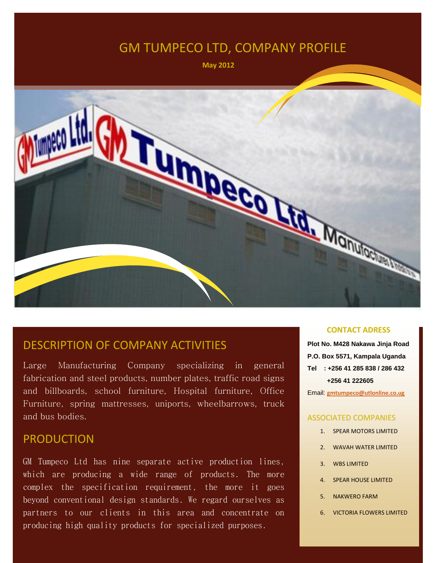## GM TUMPECO LTD, COMPANY PROFILE

 **May 2012**



#### DESCRIPTION OF COMPANY ACTIVITIES

Large Manufacturing Company specializing in general fabrication and steel products, number plates, traffic road signs and billboards, school furniture, Hospital furniture, Office Furniture, spring mattresses, uniports, wheelbarrows, truck and bus bodies.

#### PRODUCTION

GM Tumpeco Ltd has nine separate active production lines, which are producing a wide range of products. The more complex the specification requirement, the more it goes beyond conventional design standards. We regard ourselves as partners to our clients in this area and concentrate on producing high quality products for specialized purposes.

#### **CONTACT ADRESS**

**Plot No. M428 Nakawa Jinja Road P.O. Box 5571, Kampala Uganda Tel : +256 41 285 838 / 286 432 +256 41 222605**

Email: **[gmtumpeco@utlonline.co.ug](mailto:gmtumpeco@gmtumpeco.co.ug)**

#### ASSOCIATED COMPANIES

- 1. SPEAR MOTORS LIMITED
- 2. WAVAH WATER LIMITED
- 3. WBS LIMITED
- 4. SPEAR HOUSE LIMITED
- 5. NAKWERO FARM
- 6. VICTORIA FLOWERS LIMITED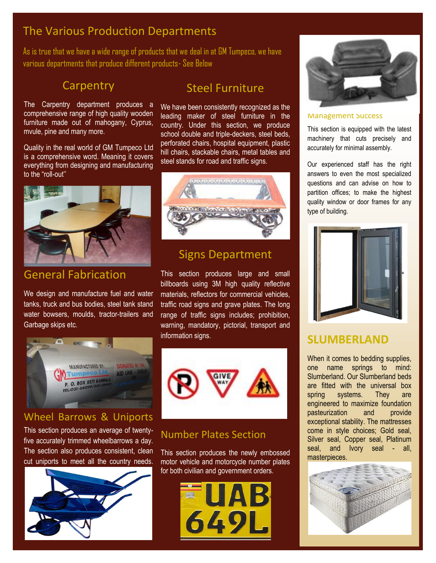## The Various Production Departments

As is true that we have a wide range of products that we deal in at GM Tumpeco, we have various departments that produce different products- See Below

## **Carpentry**

The Carpentry department produces a comprehensive range of high quality wooden furniture made out of mahogany, Cyprus, mvule, pine and many more.

Quality in the real world of GM Tumpeco Ltd is a comprehensive word. Meaning it covers everything from designing and manufacturing to the "roll-out''



## General Fabrication

We design and manufacture fuel and water tanks, truck and bus bodies, steel tank stand water bowsers, moulds, tractor-trailers and Garbage skips etc.



#### Wheel Barrows & Uniports

This section produces an average of twentyfive accurately trimmed wheelbarrows a day. The section also produces consistent, clean cut uniports to meet all the country needs.



## Steel Furniture

We have been consistently recognized as the leading maker of steel furniture in the country. Under this section, we produce school double and triple-deckers, steel beds, perforated chairs, hospital equipment, plastic hill chairs, stackable chairs, metal tables and steel stands for road and traffic signs.



### Signs Department

This section produces large and small billboards using 3M high quality reflective materials, reflectors for commercial vehicles, traffic road signs and grave plates. The long range of traffic signs includes; prohibition, warning, mandatory, pictorial, transport and information signs.



#### Number Plates Section

This section produces the newly embossed motor vehicle and motorcycle number plates for both civilian and government orders.





#### Management Success

This section is equipped with the latest machinery that cuts precisely and accurately for minimal assembly.

Our experienced staff has the right answers to even the most specialized questions and can advise on how to partition offices; to make the highest quality window or door frames for any type of building.



### **SLUMBERLAND**

When it comes to bedding supplies, one name springs to mind: Slumberland. Our Slumberland beds are fitted with the universal box spring systems. They are engineered to maximize foundation pasteurization and provide exceptional stability. The mattresses come in style choices; Gold seal, Silver seal, Copper seal, Platinum seal, and Ivory seal - all, **masterpieces** 

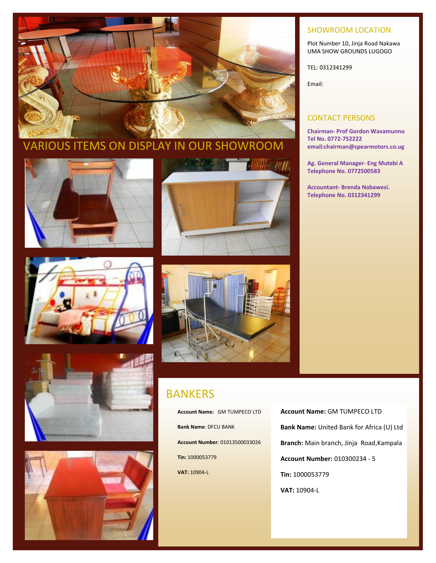

#### SHOWROOM LOCATION

Plot Number 10, Jinja Road Nakawa UMA SHOW GROUNDS LUGOGO

TEL: 0312341299

Email:

#### CONTACT PERSONS

**Chairman- Prof Gordon Wavamunno Tel No. 0772-752222 email:chairman@spearmotors.co.ug**

**Ag. General Manager- Eng Mutebi A Telephone No. 0772500583**

**Accountant- Brenda Nabawesi. Telephone No. 0312341299**















#### BANKERS

**Account Name:** GM TUMPECO LTD **Bank Name**: DFCU BANK **Account Number**: 01013500033026 **Tin:** 1000053779 **VAT:** 10904-L

**Account Name:** GM TUMPECO LTD **Bank Name:** United Bank for Africa (U) Ltd **Branch:** Main branch, Jinja Road,Kampala **Account Number:** 010300234 - 5 **Tin:** 1000053779 **VAT:** 10904-L